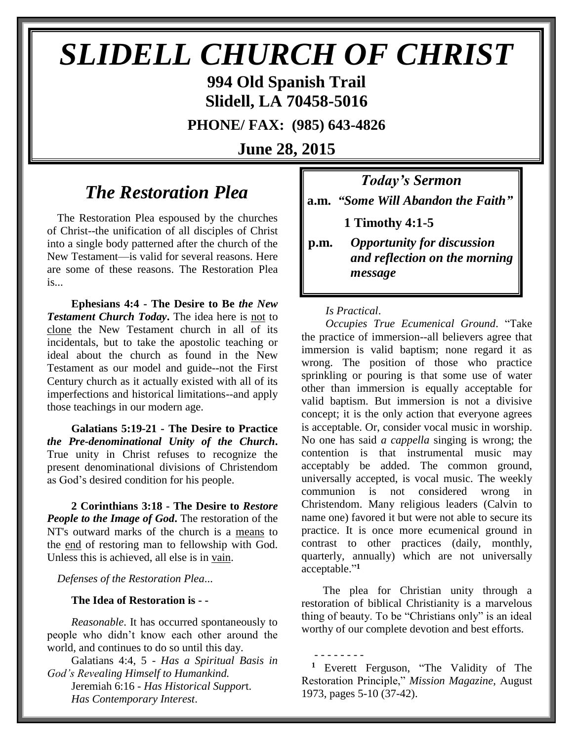# *SLIDELL CHURCH OF CHRIST*

**994 Old Spanish Trail Slidell, LA 70458-5016**

**PHONE/ FAX: (985) 643-4826**

**June 28, 2015**

# *The Restoration Plea*

The Restoration Plea espoused by the churches of Christ--the unification of all disciples of Christ into a single body patterned after the church of the New Testament—is valid for several reasons. Here are some of these reasons. The Restoration Plea is...

 **Ephesians 4:4 - The Desire to Be** *the New Testament Church Today***.** The idea here is not to clone the New Testament church in all of its incidentals, but to take the apostolic teaching or ideal about the church as found in the New Testament as our model and guide--not the First Century church as it actually existed with all of its imperfections and historical limitations--and apply those teachings in our modern age.

 **Galatians 5:19-21 - The Desire to Practice**  *the Pre-denominational Unity of the Church***.** True unity in Christ refuses to recognize the present denominational divisions of Christendom as God's desired condition for his people.

 **2 Corinthians 3:18 - The Desire to** *Restore People to the Image of God***.** The restoration of the NT's outward marks of the church is a means to the end of restoring man to fellowship with God. Unless this is achieved, all else is in vain.

*Defenses of the Restoration Plea*...

### **The Idea of Restoration is - -**

*Reasonable*. It has occurred spontaneously to people who didn't know each other around the world, and continues to do so until this day.

Galatians 4:4, 5 - *Has a Spiritual Basis in God's Revealing Himself to Humankind.* Jeremiah 6:16 - *Has Historical Suppor*t. *Has Contemporary Interest*.

*Today's Sermon* **a.m.** *"Some Will Abandon the Faith"*

**1 Timothy 4:1-5**

**p.m.** *Opportunity for discussion*  *and reflection on the morning message*

### *Is Practical*.

- - - - - - - -

*Occupies True Ecumenical Ground*. "Take the practice of immersion--all believers agree that immersion is valid baptism; none regard it as wrong. The position of those who practice sprinkling or pouring is that some use of water other than immersion is equally acceptable for valid baptism. But immersion is not a divisive concept; it is the only action that everyone agrees is acceptable. Or, consider vocal music in worship. No one has said *a cappella* singing is wrong; the contention is that instrumental music may acceptably be added. The common ground, universally accepted, is vocal music. The weekly communion is not considered wrong in Christendom. Many religious leaders (Calvin to name one) favored it but were not able to secure its practice. It is once more ecumenical ground in contrast to other practices (daily, monthly, quarterly, annually) which are not universally acceptable." **1**

 The plea for Christian unity through a restoration of biblical Christianity is a marvelous thing of beauty. To be "Christians only" is an ideal worthy of our complete devotion and best efforts.

**<sup>1</sup>** Everett Ferguson, "The Validity of The Restoration Principle," *Mission Magazine*, August 1973, pages 5-10 (37-42).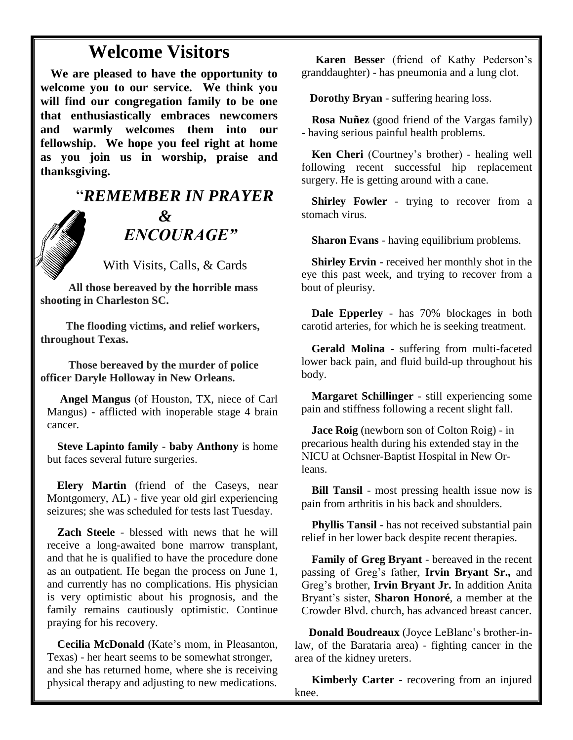# **Welcome Visitors**

**We are pleased to have the opportunity to welcome you to our service. We think you will find our congregation family to be one that enthusiastically embraces newcomers and warmly welcomes them into our fellowship. We hope you feel right at home as you join us in worship, praise and thanksgiving.**

# "*REMEMBER IN PRAYER &* " *ENCOURAGE"*

With Visits, Calls, & Cards

 **All those bereaved by the horrible mass shooting in Charleston SC.**

 **The flooding victims, and relief workers, throughout Texas.**

 **Those bereaved by the murder of police officer Daryle Holloway in New Orleans.**

**Angel Mangus** (of Houston, TX, niece of Carl Mangus) - afflicted with inoperable stage 4 brain cancer.

**Steve Lapinto family** - **baby Anthony** is home but faces several future surgeries.

**Elery Martin** (friend of the Caseys, near Montgomery, AL) - five year old girl experiencing seizures; she was scheduled for tests last Tuesday.

**Zach Steele** - blessed with news that he will receive a long-awaited bone marrow transplant, and that he is qualified to have the procedure done as an outpatient. He began the process on June 1, and currently has no complications. His physician is very optimistic about his prognosis, and the family remains cautiously optimistic. Continue praying for his recovery.

**Cecilia McDonald** (Kate's mom, in Pleasanton, Texas) - her heart seems to be somewhat stronger, and she has returned home, where she is receiving physical therapy and adjusting to new medications.

 **Karen Besser** (friend of Kathy Pederson's granddaughter) - has pneumonia and a lung clot.

 **Dorothy Bryan** - suffering hearing loss.

**Rosa Nuñez** (good friend of the Vargas family) - having serious painful health problems.

**Ken Cheri** (Courtney's brother) - healing well following recent successful hip replacement surgery. He is getting around with a cane.

**Shirley Fowler** - trying to recover from a stomach virus.

**Sharon Evans** - having equilibrium problems.

**Shirley Ervin** - received her monthly shot in the eye this past week, and trying to recover from a bout of pleurisy.

**Dale Epperley** - has 70% blockages in both carotid arteries, for which he is seeking treatment.

**Gerald Molina** - suffering from multi-faceted lower back pain, and fluid build-up throughout his body.

**Margaret Schillinger** - still experiencing some pain and stiffness following a recent slight fall.

**Jace Roig** (newborn son of Colton Roig) - in precarious health during his extended stay in the NICU at Ochsner-Baptist Hospital in New Orleans.

**Bill Tansil** - most pressing health issue now is pain from arthritis in his back and shoulders.

**Phyllis Tansil** - has not received substantial pain relief in her lower back despite recent therapies.

**Family of Greg Bryant** - bereaved in the recent passing of Greg's father, **Irvin Bryant Sr.,** and Greg's brother, **Irvin Bryant Jr.** In addition Anita Bryant's sister, **Sharon Honoré**, a member at the Crowder Blvd. church, has advanced breast cancer.

 **Donald Boudreaux** (Joyce LeBlanc's brother-inlaw, of the Barataria area) - fighting cancer in the area of the kidney ureters.

 **Kimberly Carter** - recovering from an injured knee.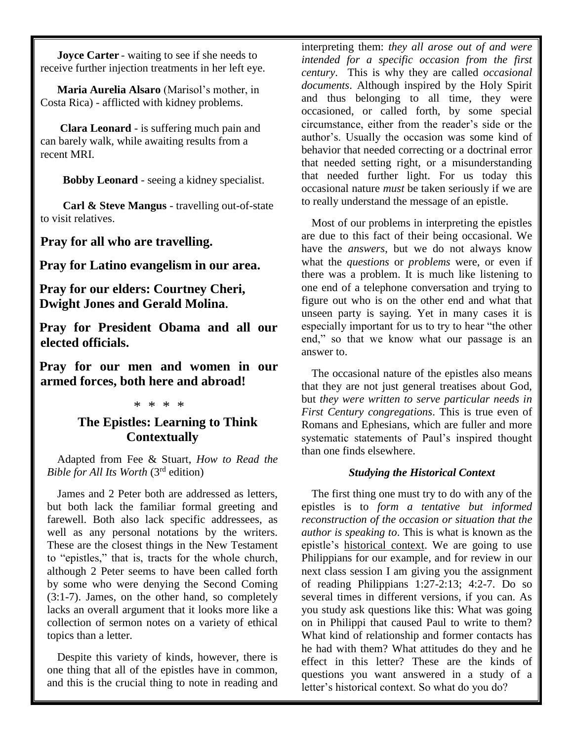**Joyce Carter** - waiting to see if she needs to receive further injection treatments in her left eye.

 **Maria Aurelia Alsaro** (Marisol's mother, in Costa Rica) - afflicted with kidney problems.

 **Clara Leonard** - is suffering much pain and can barely walk, while awaiting results from a recent MRI.

 **Bobby Leonard** - seeing a kidney specialist.

 **Carl & Steve Mangus** - travelling out-of-state to visit relatives.

**Pray for all who are travelling.**

**Pray for Latino evangelism in our area.**

**Pray for our elders: Courtney Cheri, Dwight Jones and Gerald Molina.**

**Pray for President Obama and all our elected officials.**

**Pray for our men and women in our armed forces, both here and abroad!**

#### \* \* \* \*

## **The Epistles: Learning to Think Contextually**

Adapted from Fee & Stuart, *How to Read the Bible for All Its Worth* (3rd edition)

James and 2 Peter both are addressed as letters, but both lack the familiar formal greeting and farewell. Both also lack specific addressees, as well as any personal notations by the writers. These are the closest things in the New Testament to "epistles," that is, tracts for the whole church, although 2 Peter seems to have been called forth by some who were denying the Second Coming (3:1-7). James, on the other hand, so completely lacks an overall argument that it looks more like a collection of sermon notes on a variety of ethical topics than a letter.

Despite this variety of kinds, however, there is one thing that all of the epistles have in common, and this is the crucial thing to note in reading and interpreting them: *they all arose out of and were intended for a specific occasion from the first century*. This is why they are called *occasional documents*. Although inspired by the Holy Spirit and thus belonging to all time, they were occasioned, or called forth, by some special circumstance, either from the reader's side or the author's. Usually the occasion was some kind of behavior that needed correcting or a doctrinal error that needed setting right, or a misunderstanding that needed further light. For us today this occasional nature *must* be taken seriously if we are to really understand the message of an epistle.

Most of our problems in interpreting the epistles are due to this fact of their being occasional. We have the *answers*, but we do not always know what the *questions* or *problems* were, or even if there was a problem. It is much like listening to one end of a telephone conversation and trying to figure out who is on the other end and what that unseen party is saying. Yet in many cases it is especially important for us to try to hear "the other end," so that we know what our passage is an answer to.

The occasional nature of the epistles also means that they are not just general treatises about God, but *they were written to serve particular needs in First Century congregations*. This is true even of Romans and Ephesians, which are fuller and more systematic statements of Paul's inspired thought than one finds elsewhere.

### *Studying the Historical Context*

The first thing one must try to do with any of the epistles is to *form a tentative but informed reconstruction of the occasion or situation that the author is speaking to*. This is what is known as the epistle's historical context. We are going to use Philippians for our example, and for review in our next class session I am giving you the assignment of reading Philippians 1:27-2:13; 4:2-7. Do so several times in different versions, if you can. As you study ask questions like this: What was going on in Philippi that caused Paul to write to them? What kind of relationship and former contacts has he had with them? What attitudes do they and he effect in this letter? These are the kinds of questions you want answered in a study of a letter's historical context. So what do you do?